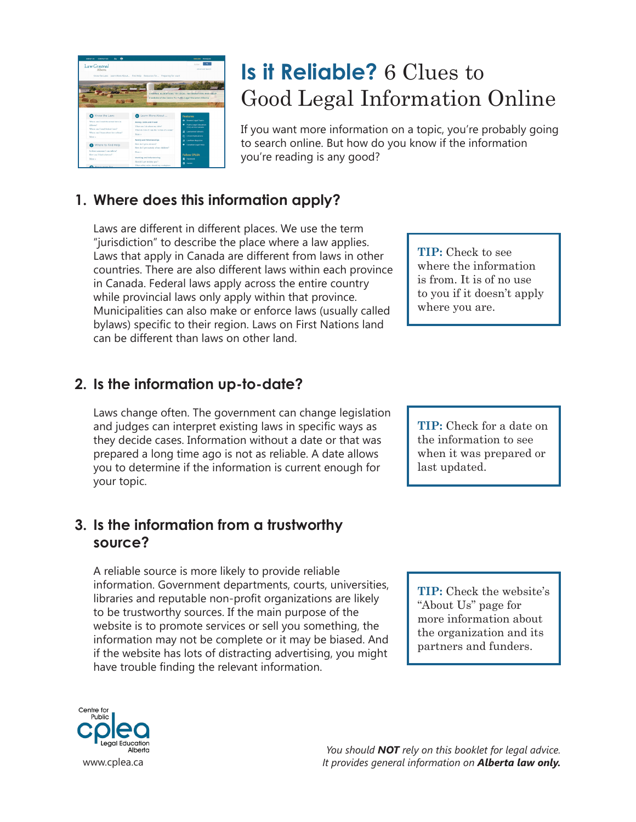| Δ.<br><b>CONTACT US</b><br><b>ABBUT US</b>                                                                                         |                                                                                                                       | <b>CASE AND TRANSAN</b>                                                                                                                 |
|------------------------------------------------------------------------------------------------------------------------------------|-----------------------------------------------------------------------------------------------------------------------|-----------------------------------------------------------------------------------------------------------------------------------------|
| Law Central<br>Alberta                                                                                                             |                                                                                                                       | Custom<br>Advanced Search                                                                                                               |
|                                                                                                                                    | Know the Laws Learn More About Find Help Resources for Preparing for court                                            | <b>LINKING ALRESTANS TO LEGAL INFORMATION AND HELP</b><br>A website of the Centre for Public Legal Education Alberta                    |
| Know the Laws                                                                                                                      | Learn More About                                                                                                      | <b>Features</b>                                                                                                                         |
| Where can I read the actual laws in<br>Alberta?<br>Where can I read federal laws?<br>Where can I bears about law reform?<br>Mass u | <b>Money</b> , Debt and Fraud<br>What can I do about my debt?<br>What As I As of I am the virtim of a scan?<br>Mass v | <b>Co.</b> Browse Legal Focks<br>Public Legal Education<br><b>IPUD announ Canada</b><br>LawCentral Schools<br><b>CPLEA Publications</b> |
| Where to Find Help<br>In these companied can rally and                                                                             | <b>Family and Relationships</b><br>How do I get a divorce?<br>How do I get eastedy of my children?<br>Mass u          | LineNow Magazine<br>Canadian Legal EADs                                                                                                 |
| Hew can I fied a lawyer?<br>$Mass =$<br><b>Conservation</b>                                                                        | <b>Morking and Volunteering</b><br>Should I are holiday next.<br>What safety rules should my workplace                | <b>Follow CPLEA</b><br><b>D</b> Facebook<br><b>D</b> Twitter                                                                            |

# **Is it Reliable?** 6 Clues to Good Legal Information Online

If you want more information on a topic, you're probably going to search online. But how do you know if the information you're reading is any good?

## **1. Where does this information apply?**

Laws are different in different places. We use the term "jurisdiction" to describe the place where a law applies. Laws that apply in Canada are different from laws in other countries. There are also different laws within each province in Canada. Federal laws apply across the entire country while provincial laws only apply within that province. Municipalities can also make or enforce laws (usually called bylaws) specific to their region. Laws on First Nations land can be different than laws on other land.

## **2. Is the information up-to-date?**

Laws change often. The government can change legislation and judges can interpret existing laws in specific ways as they decide cases. Information without a date or that was prepared a long time ago is not as reliable. A date allows you to determine if the information is current enough for your topic.

### **3. Is the information from a trustworthy source?**

A reliable source is more likely to provide reliable information. Government departments, courts, universities, libraries and reputable non-profit organizations are likely to be trustworthy sources. If the main purpose of the website is to promote services or sell you something, the information may not be complete or it may be biased. And if the website has lots of distracting advertising, you might have trouble finding the relevant information.

**TIP:** Check to see where the information is from. It is of no use to you if it doesn't apply where you are.

**TIP:** Check for a date on the information to see when it was prepared or last updated.

**TIP:** Check the website's "About Us" page for more information about the organization and its partners and funders.



*You should NOT rely on this booklet for legal advice.*  www.cplea.ca *It provides general information on <b>Alberta law only. It provides general information on Alberta law only.*